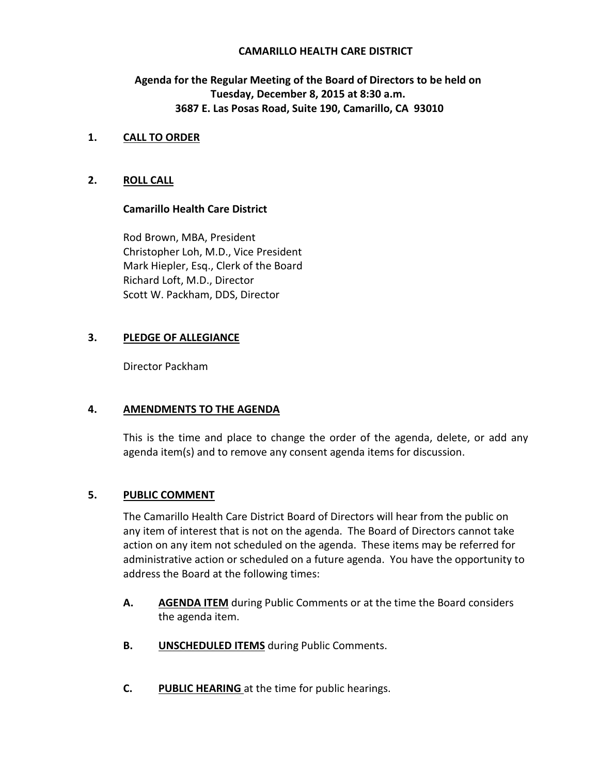## **CAMARILLO HEALTH CARE DISTRICT**

## **Agenda for the Regular Meeting of the Board of Directors to be held on Tuesday, December 8, 2015 at 8:30 a.m. 3687 E. Las Posas Road, Suite 190, Camarillo, CA 93010**

## **1. CALL TO ORDER**

## **2. ROLL CALL**

## **Camarillo Health Care District**

Rod Brown, MBA, President Christopher Loh, M.D., Vice President Mark Hiepler, Esq., Clerk of the Board Richard Loft, M.D., Director Scott W. Packham, DDS, Director

## **3. PLEDGE OF ALLEGIANCE**

Director Packham

#### **4. AMENDMENTS TO THE AGENDA**

This is the time and place to change the order of the agenda, delete, or add any agenda item(s) and to remove any consent agenda items for discussion.

## **5. PUBLIC COMMENT**

The Camarillo Health Care District Board of Directors will hear from the public on any item of interest that is not on the agenda. The Board of Directors cannot take action on any item not scheduled on the agenda. These items may be referred for administrative action or scheduled on a future agenda. You have the opportunity to address the Board at the following times:

- **A. AGENDA ITEM** during Public Comments or at the time the Board considers the agenda item.
- **B. UNSCHEDULED ITEMS** during Public Comments.
- **C. PUBLIC HEARING** at the time for public hearings.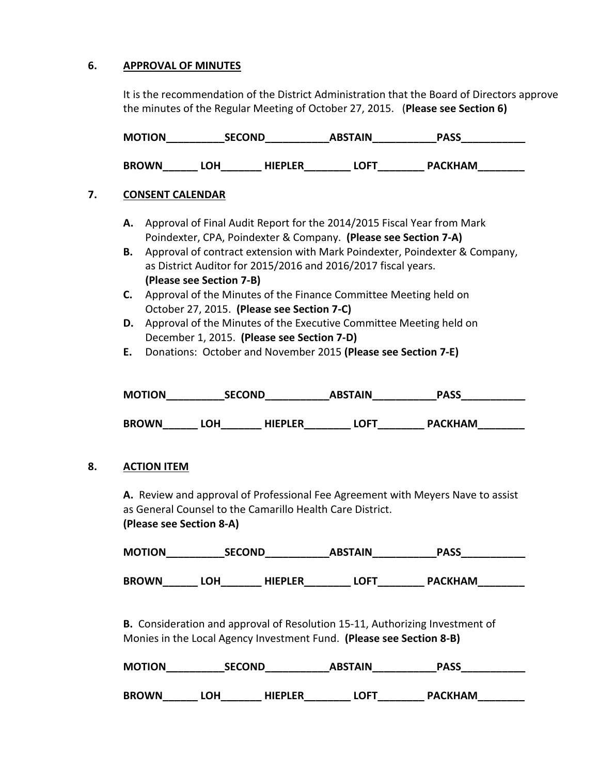## **6. APPROVAL OF MINUTES**

It is the recommendation of the District Administration that the Board of Directors approve the minutes of the Regular Meeting of October 27, 2015. (**Please see Section 6)** 

| <b>MOTION</b> | <b>SECOND</b> | <b>ABSTAIN</b> | <b>PASS</b> |  |
|---------------|---------------|----------------|-------------|--|
|               |               |                |             |  |

**BROWN\_\_\_\_\_\_ LOH\_\_\_\_\_\_\_ HIEPLER\_\_\_\_\_\_\_\_ LOFT\_\_\_\_\_\_\_\_ PACKHAM\_\_\_\_\_\_\_\_** 

## **7. CONSENT CALENDAR**

- **A.** Approval of Final Audit Report for the 2014/2015 Fiscal Year from Mark Poindexter, CPA, Poindexter & Company. **(Please see Section 7-A)**
- **B.** Approval of contract extension with Mark Poindexter, Poindexter & Company, as District Auditor for 2015/2016 and 2016/2017 fiscal years. **(Please see Section 7-B)**
- **C.** Approval of the Minutes of the Finance Committee Meeting held on October 27, 2015. **(Please see Section 7-C)**
- **D.** Approval of the Minutes of the Executive Committee Meeting held on December 1, 2015. **(Please see Section 7-D)**
- **E.** Donations: October and November 2015 **(Please see Section 7-E)**

| <b>MOTION</b> | <b>SECOND</b> |                | <b>ABSTAIN</b> | <b>PASS</b>    |
|---------------|---------------|----------------|----------------|----------------|
| <b>BROWN</b>  | 0H)           | <b>HIEPLER</b> | LOFT           | <b>PACKHAM</b> |

## **8. ACTION ITEM**

**A.** Review and approval of Professional Fee Agreement with Meyers Nave to assist as General Counsel to the Camarillo Health Care District.

**(Please see Section 8-A)** 

| <b>MOTION</b> | <b>SECOND</b> |                | <b>ABSTAIN</b> | <b>PASS</b>                |  |
|---------------|---------------|----------------|----------------|----------------------------|--|
| <b>BROWN</b>  | LOH.          | <b>HIEPLER</b> | LOFT           | <b>PACKHAM</b><br>________ |  |

 **B.** Consideration and approval of Resolution 15-11, Authorizing Investment of Monies in the Local Agency Investment Fund. **(Please see Section 8-B)** 

| <b>MOTION</b> | <b>SECOND</b> |                | <b>ABSTAIN</b> | PASS           |
|---------------|---------------|----------------|----------------|----------------|
| <b>BROWN</b>  | LOH           | <b>HIEPLER</b> | LOFT           | <b>PACKHAM</b> |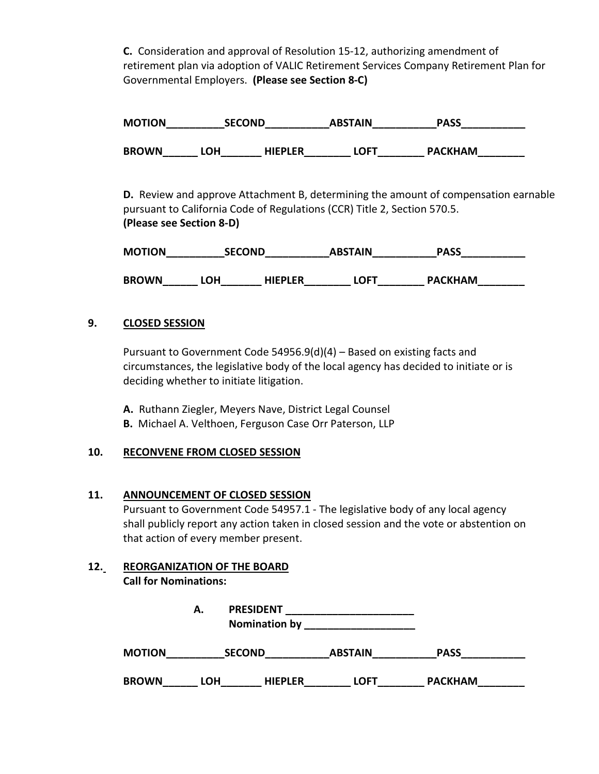**C.** Consideration and approval of Resolution 15-12, authorizing amendment of retirement plan via adoption of VALIC Retirement Services Company Retirement Plan for Governmental Employers. **(Please see Section 8-C)**

**MOTION\_\_\_\_\_\_\_\_\_\_SECOND\_\_\_\_\_\_\_\_\_\_\_ABSTAIN\_\_\_\_\_\_\_\_\_\_\_PASS\_\_\_\_\_\_\_\_\_\_\_** BROWN\_\_\_\_\_\_\_ LOH\_\_\_\_\_\_\_\_ HIEPLER\_\_\_\_\_\_\_\_\_ LOFT\_\_\_\_\_\_\_\_\_ PACKHAM\_\_\_\_\_\_\_\_\_\_\_\_\_\_\_\_\_

**D.** Review and approve Attachment B, determining the amount of compensation earnable pursuant to California Code of Regulations (CCR) Title 2, Section 570.5. **(Please see Section 8-D)** 

| <b>MOTION</b> | <b>SECOND</b> |                | <b>ABSTAIN</b> | PASS           |
|---------------|---------------|----------------|----------------|----------------|
| <b>BROWN</b>  | -OH           | <b>HIEPLER</b> | LOFT           | <b>PACKHAM</b> |

## **9. CLOSED SESSION**

Pursuant to Government Code 54956.9(d)(4) – Based on existing facts and circumstances, the legislative body of the local agency has decided to initiate or is deciding whether to initiate litigation.

**A.** Ruthann Ziegler, Meyers Nave, District Legal Counsel **B.** Michael A. Velthoen, Ferguson Case Orr Paterson, LLP

## **10. RECONVENE FROM CLOSED SESSION**

## **11. ANNOUNCEMENT OF CLOSED SESSION**

Pursuant to Government Code 54957.1 - The legislative body of any local agency shall publicly report any action taken in closed session and the vote or abstention on that action of every member present.

# **12. REORGANIZATION OF THE BOARD**

**Call for Nominations:** 

|               | А.         | <b>PRESIDENT</b><br><b>Nomination by</b> |                |                |  |
|---------------|------------|------------------------------------------|----------------|----------------|--|
| <b>MOTION</b> |            | <b>SECOND</b>                            | <b>ABSTAIN</b> | <b>PASS</b>    |  |
| <b>BROWN</b>  | <b>LOH</b> | <b>HIEPLER</b>                           | <b>LOFT</b>    | <b>PACKHAM</b> |  |